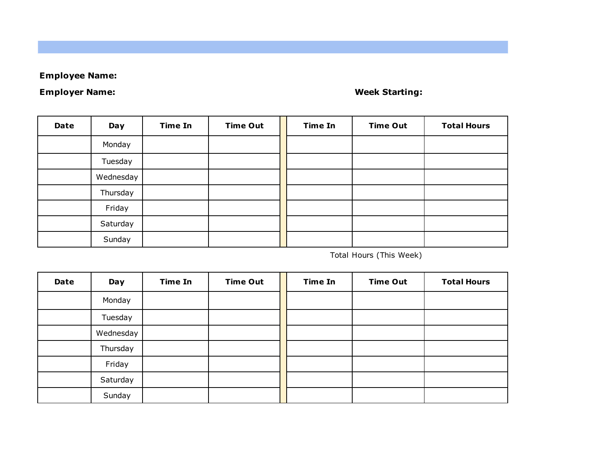## **Employee Name:**

## **Employer Name:**

## **Week Starting:**

| Date | Day       | <b>Time In</b> | <b>Time Out</b> | <b>Time In</b> | <b>Time Out</b> | <b>Total Hours</b> |
|------|-----------|----------------|-----------------|----------------|-----------------|--------------------|
|      | Monday    |                |                 |                |                 |                    |
|      | Tuesday   |                |                 |                |                 |                    |
|      | Wednesday |                |                 |                |                 |                    |
|      | Thursday  |                |                 |                |                 |                    |
|      | Friday    |                |                 |                |                 |                    |
|      | Saturday  |                |                 |                |                 |                    |
|      | Sunday    |                |                 |                |                 |                    |

Total Hours (This Week)

| Date | Day       | <b>Time In</b> | <b>Time Out</b> | <b>Time In</b> | <b>Time Out</b> | <b>Total Hours</b> |
|------|-----------|----------------|-----------------|----------------|-----------------|--------------------|
|      | Monday    |                |                 |                |                 |                    |
|      | Tuesday   |                |                 |                |                 |                    |
|      | Wednesday |                |                 |                |                 |                    |
|      | Thursday  |                |                 |                |                 |                    |
|      | Friday    |                |                 |                |                 |                    |
|      | Saturday  |                |                 |                |                 |                    |
|      | Sunday    |                |                 |                |                 |                    |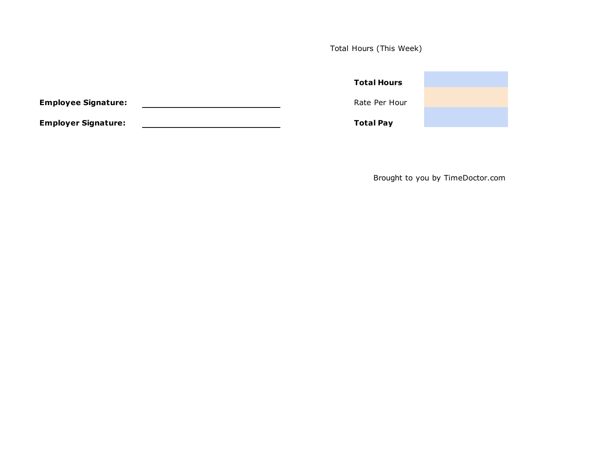Total Hours (This Week)

|                            | <b>Total Hours</b> |  |
|----------------------------|--------------------|--|
| <b>Employee Signature:</b> | Rate Per Hour      |  |
| <b>Employer Signature:</b> | <b>Total Pay</b>   |  |

Brought to you by TimeDoctor.com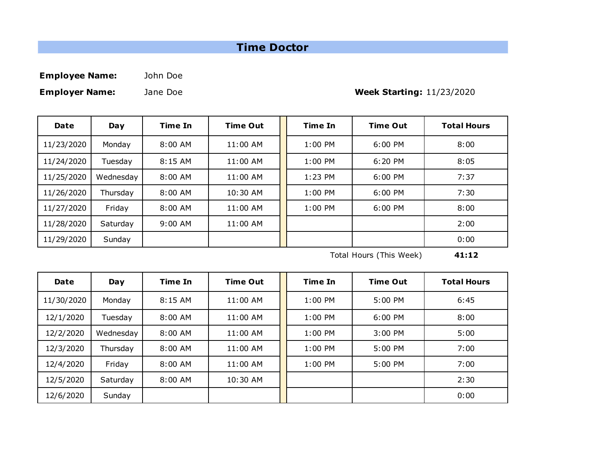## **Time Doctor**

**Employee Name:** John Doe

**Employer Name:** Jane Doe

**Week Starting:** 11/23/2020

| <b>Date</b> | Day       | <b>Time In</b> | <b>Time Out</b> | Time In   | <b>Time Out</b> | <b>Total Hours</b> |
|-------------|-----------|----------------|-----------------|-----------|-----------------|--------------------|
| 11/23/2020  | Monday    | $8:00$ AM      | 11:00 AM        | $1:00$ PM | $6:00$ PM       | 8:00               |
| 11/24/2020  | Tuesday   | 8:15 AM        | 11:00 AM        | 1:00 PM   | $6:20$ PM       | 8:05               |
| 11/25/2020  | Wednesday | 8:00 AM        | 11:00 AM        | $1:23$ PM | 6:00 PM         | 7:37               |
| 11/26/2020  | Thursday  | $8:00$ AM      | 10:30 AM        | $1:00$ PM | $6:00$ PM       | 7:30               |
| 11/27/2020  | Friday    | $8:00$ AM      | 11:00 AM        | $1:00$ PM | 6:00 PM         | 8:00               |
| 11/28/2020  | Saturday  | $9:00$ AM      | 11:00 AM        |           |                 | 2:00               |
| 11/29/2020  | Sunday    |                |                 |           |                 | 0:00               |

Total Hours (This Week) **41:12**

| Date       | Day       | <b>Time In</b> | <b>Time Out</b> | <b>Time In</b> | <b>Time Out</b> | <b>Total Hours</b> |
|------------|-----------|----------------|-----------------|----------------|-----------------|--------------------|
| 11/30/2020 | Monday    | $8:15$ AM      | 11:00 AM        | $1:00$ PM      | $5:00$ PM       | 6:45               |
| 12/1/2020  | Tuesday   | $8:00$ AM      | 11:00 AM        | $1:00$ PM      | $6:00$ PM       | 8:00               |
| 12/2/2020  | Wednesday | $8:00$ AM      | 11:00 AM        | $1:00$ PM      | 3:00 PM         | 5:00               |
| 12/3/2020  | Thursday  | $8:00$ AM      | 11:00 AM        | $1:00$ PM      | $5:00$ PM       | 7:00               |
| 12/4/2020  | Friday    | $8:00$ AM      | 11:00 AM        | $1:00$ PM      | $5:00$ PM       | 7:00               |
| 12/5/2020  | Saturday  | 8:00 AM        | 10:30 AM        |                |                 | 2:30               |
| 12/6/2020  | Sunday    |                |                 |                |                 | 0:00               |